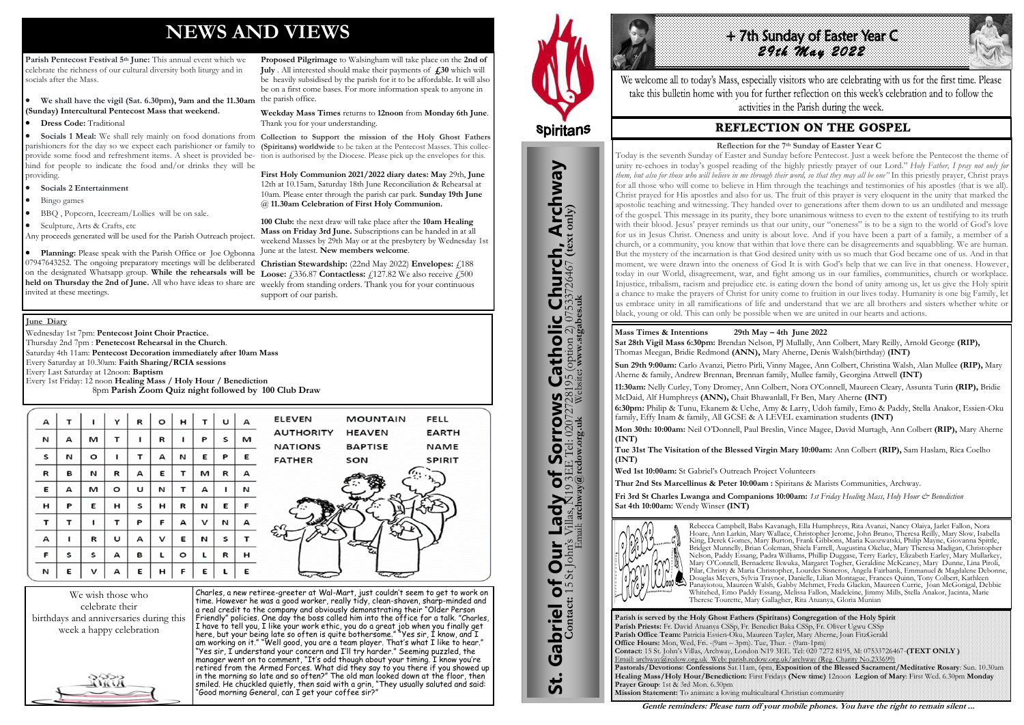# **NEWS AND VIEWS**

**Parish Pentecost Festival 5th June:** This annual event which we celebrate the richness of our cultural diversity both liturgy and in socials after the Mass.

**Dress Code:** Traditional

- **Socials 2 Entertainment**
- Bingo games
- BBQ , Popcorn, Icecream/Lollies will be on sale.
- Sculpture, Arts & Crafts, etc

Any proceeds generated will be used for the Parish Outreach project.

 **We shall have the vigil (Sat. 6.30pm), 9am and the 11.30am (Sunday) Intercultural Pentecost Mass that weekend.** the parish office. **Weekday Mass Times** returns to **12noon** from **Monday 6th June**.

 **Socials 1 Meal:** We shall rely mainly on food donations from **Collection to Support the mission of the Holy Ghost Fathers**  parishioners for the day so we expect each parishioner or family to **(Spiritans) worldwide** to be taken at the Pentecost Masses. This collecprovide some food and refreshment items. A sheet is provided be-tion is authorised by the Diocese. Please pick up the envelopes for this. hind for people to indicate the food and/or drinks they will be providing. **First Holy Communion 2021/2022 diary dates: May** 29th, **June** 12th at 10.15am, Saturday 18th June Reconciliation & Rehearsal at

**Planning:** Please speak with the Parish Office or Joe Ogbonna 07947643252. The ongoing preparatory meetings will be deliberated **Christian Stewardship:** (22nd May 2022) **Envelopes:** £188 on the designated Whatsapp group. **While the rehearsals will be Loose:** £336.87 **Contactless:** £127.82 We also receive £500 **held on Thursday the 2nd of June.** All who have ideas to share are weekly from standing orders. Thank you for your continuous invited at these meetings. June at the latest. **New members welcome**. support of our parish.

**Proposed Pilgrimage** to Walsingham will take place on the **2nd of July** . All interested should make their payments of **£30** which will be heavily subsidised by the parish for it to be affordable. It will also be on a first come bases. For more information speak to anyone in

Thank you for your understanding.

10am. Please enter through the parish car park. **Sunday 19th June** 

@ **11.30am Celebration of First Holy Communion.**

**100 Club:** the next draw will take place after the **10am Healing Mass on Friday 3rd June.** Subscriptions can be handed in at all weekend Masses by 29th May or at the presbytery by Wednesday 1st

**FELL** 

**EARTH** 

**NAME** SPIRIT



Charles, a new retiree-greeter at Wal-Mart, just couldn't seem to get to work on time. However he was a good worker, really tidy, clean-shaven, sharp-minded and a real credit to the company and obviously demonstrating their "Older Person Friendly" policies. One day the boss called him into the office for a talk. "Charles, I have to tell you, I like your work ethic, you do a great job when you finally get here, but your being late so often is quite bothersome." "Yes sir, I know, and I am working on it." "Well good, you are a team player. That's what I like to hear." "Yes sir, I understand your concern and I'll try harder." Seeming puzzled, the manager went on to comment, "It's odd though about your timing. I know you're retired from the Armed Forces. What did they say to you there if you showed up in the morning so late and so often?" The old man looked down at the floor, then smiled. He chuckled quietly, then said with a grin, "They usually saluted and said: "Good morning General, can I get your coffee sir?"



St. Gabriel of Our Lady of Sorrows Catholic Church, Archway

 $\overline{\mathbf{b}}$ 

**Our Lady** 

Gabriel of Our

<u>უ:</u>

**Sorrows** 

**IS Catholic Church, Archway**<br>28195 (option 2) 07533726467 (text only)

#### **June Diary**

Wednesday 1st 7pm: **Pentecost Joint Choir Practice.**  Thursday 2nd 7pm : **Penetecost Rehearsal in the Church**. Saturday 4th 11am: **Pentecost Decoration immediately after 10am Mass** Every Saturday at 10.30am: **Faith Sharing/RCIA sessions**  Every Last Saturday at 12noon: **Baptism**  Every 1st Friday: 12 noon **Healing Mass / Holy Hour / Benediction** 8pm **Parish Zoom Quiz night followed by 100 Club Draw**

| т |         | Y       | R | $\circ$      | н       | т            | U | А | <b>ELEVEN</b>    |                |                                            |
|---|---------|---------|---|--------------|---------|--------------|---|---|------------------|----------------|--------------------------------------------|
| А | м       | т       |   | R            |         | P            | S | м | <b>AUTHORITY</b> | <b>HEAVEN</b>  |                                            |
|   |         |         |   |              |         |              |   |   | <b>NATIONS</b>   | <b>BAPTISE</b> |                                            |
| И | $\circ$ | 1       | т | А            | N       | Е            | P | Ε | <b>FATHER</b>    | SON            |                                            |
| в | И       | R       | А | Ε            | т       | м            | R | А |                  |                |                                            |
| А | м       | $\circ$ | U | И            | т       | А            |   | И |                  |                |                                            |
| P | Е       | н       | s | н            | R       | И            | Е | F |                  |                |                                            |
| т |         | т       | P | F            | А       | $\checkmark$ | И | А |                  |                |                                            |
|   | R       | U       | A | $\checkmark$ | Е       | N            | S | Τ |                  |                |                                            |
| s | s       | А       | в | L            | $\circ$ | L            | R | н |                  |                |                                            |
| Е | v       | А       | Е | н            | F       | Е            | L | Ε |                  |                |                                            |
|   |         |         |   |              |         |              |   |   |                  |                | <b>MOUNTAIN</b><br>$\sim$<br>$\sigma$ Cine |



We welcome all to today's Mass, especially visitors who are celebrating with us for the first time. Please take this bulletin home with you for further reflection on this week's celebration and to follow the activities in the Parish during the week.

### **REFLECTION ON THE GOSPEL**

**Parish is served by the Holy Ghost Fathers (Spiritans) Congregation of the Holy Spirit Parish Priests:** Fr. David Atuanya CSSp, Fr. Benedict Baka CSSp, Fr. Oliver Ugwu CSSp **Parish Office Team:** Patricia Essien-Oku, Maureen Tayler, Mary Aherne, Joan FitzGerald **Office Hours:** Mon, Wed, Fri. -(9am – 3pm). Tue, Thur. - (9am-1pm) Email: archway@rcdow.org.uk Web: parish.rcdow.org.uk/archway (Reg. Charity No.233699) **Prayer Group**: 1st & 3rd Mon. 6.30pm **Mission Statement:** To animate a loving multicultural Christian community





**Contact:** 15 St John's Villas, N19 3EE Tel: 02072728195 (option 2) 07533726467 **(text only)** Email: **archway@rcdow.org.uk** Website**: www.stgabes.uk**

i's Villas, K19 3EE Tel: 0207<br>Email: archway@rcdow.org.uk

**Mass Times & Intentions 29th May – 4th June 2022 Sat 28th Vigil Mass 6:30pm:** Brendan Nelson, PJ Mullally, Ann Colbert, Mary Reilly, Arnold George **(RIP),**  Thomas Meegan, Bridie Redmond **(ANN),** Mary Aherne, Denis Walsh(birthday) **(INT)**

**Sun 29th 9:00am:** Carlo Avanzi, Pietro Pirli, Vinny Magee, Ann Colbert, Christina Walsh, Alan Mullee **(RIP),** Mary Aherne & family, Andrew Brennan, Brennan family, Mullee family, Georgina Attwell **(INT)**

**11:30am:** Nelly Curley, Tony Dromey, Ann Colbert, Nora O'Connell, Maureen Cleary, Assunta Turin **(RIP),** Bridie McDaid, Alf Humphreys **(ANN),** Chait Bhawanlall, Fr Ben, Mary Aherne **(INT) 6:30pm:** Philip & Tunu, Ekanem & Uche, Amy & Larry, Udoh family, Emo & Paddy, Stella Anakor, Essien-Oku family, Effy Inam & family, All GCSE & A LEVEL examination students **(INT) Mon 30th: 10:00am:** Neil O'Donnell, Paul Breslin, Vince Magee, David Murtagh, Ann Colbert **(RIP),** Mary Aherne

**(INT)**

**Tue 31st The Visitation of the Blessed Virgin Mary 10:00am:** Ann Colbert **(RIP),** Sam Haslam, Rica Coelho

**(INT)**

**Wed 1st 10:00am:** St Gabriel's Outreach Project Volunteers

**Thur 2nd Sts Marcellinus & Peter 10:00am :** Spiritans & Marists Communities, Archway.

**Fri 3rd St Charles Lwanga and Companions 10:00am:** *1st Friday Healing Mass, Holy Hour & Benediction* 

**Sat 4th 10:00am:** Wendy Winser **(INT)**



Rebecca Campbell, Babs Kavanagh, Ella Humphreys, Rita Avanzi, Nancy Olaiya, Jarlet Fallon, Nora Hoare, Ann Larkin, Mary Wallace, Christopher Jerome, John Bruno, Theresa Reilly, Mary Slow, Isabella King, Derek Gomes, Mary Burton, Frank Gibbons, Maria Kuozwatski, Philip Mayne, Giovanna Spittle, Bridget Munnelly, Brian Coleman, Shiela Farrell, Augustina Okelue, Mary Theresa Madigan, Christopher Nelson, Paddy Essang, Padra Williams, Phillip Duggase, Terry Earley, Elizabeth Earley, Mary Mullarkey, Mary O'Connell, Bernadette Ikwuka, Margaret Togher, Geraldine McKeaney, Mary Dunne, Lina Piroli, Pilar, Christy & Maria Christopher, Lourdes Sisneros, Angela Fairbank, Emmanuel & Magdalene Debonne, Douglas Meyers, Sylvia Traynor, Danielle, Lilian Montague, Frances Quinn, Tony Colbert, Kathleen Panayiotou, Maureen Walsh, Gabby Mehmet, Freda Glackin, Maureen Currie, Joan McGonigal, Debbie Whitehed, Emo Paddy Essang, Melissa Fallon, Madeleine, Jimmy Mills, Stella Anakor, Jacinta, Marie Therese Tourette, Mary Gallagher, Rita Atuanya, Gloria Munian

 **Reflection for the 7th Sunday of Easter Year C** Today is the seventh Sunday of Easter and Sunday before Pentecost. Just a week before the Pentecost the theme of unity re-echoes in today's gospel reading of the highly priestly prayer of our Lord." *Holy Father, I pray not only for them, but also for those who will believe in me through their word, so that they may all be one"* In this priestly prayer, Christ prays for all those who will come to believe in Him through the teachings and testimonies of his apostles (that is we all). Christ prayed for His apostles and also for us. The fruit of this prayer is very eloquent in the unity that marked the apostolic teaching and witnessing. They handed over to generations after them down to us an undiluted and message of the gospel. This message in its purity, they bore unanimous witness to even to the extent of testifying to its truth with their blood. Jesus' prayer reminds us that our unity, our "oneness" is to be a sign to the world of God's love for us in Jesus Christ. Oneness and unity is about love. And if you have been a part of a family, a member of a church, or a community, you know that within that love there can be disagreements and squabbling. We are human. But the mystery of the incarnation is that God desired unity with us so much that God became one of us. And in that moment, we were drawn into the oneness of God It is with God's help that we can live in that oneness. However, today in our World, disagreement, war, and fight among us in our families, communities, church or workplace. Injustice, tribalism, racism and prejudice etc. is eating down the bond of unity among us, let us give the Holy spirit a chance to make the prayers of Christ for unity come to fruition in our lives today. Humanity is one big Family, let us embrace unity in all ramifications of life and understand that we are all brothers and sisters whether white or black, young or old. This can only be possible when we are united in our hearts and actions.